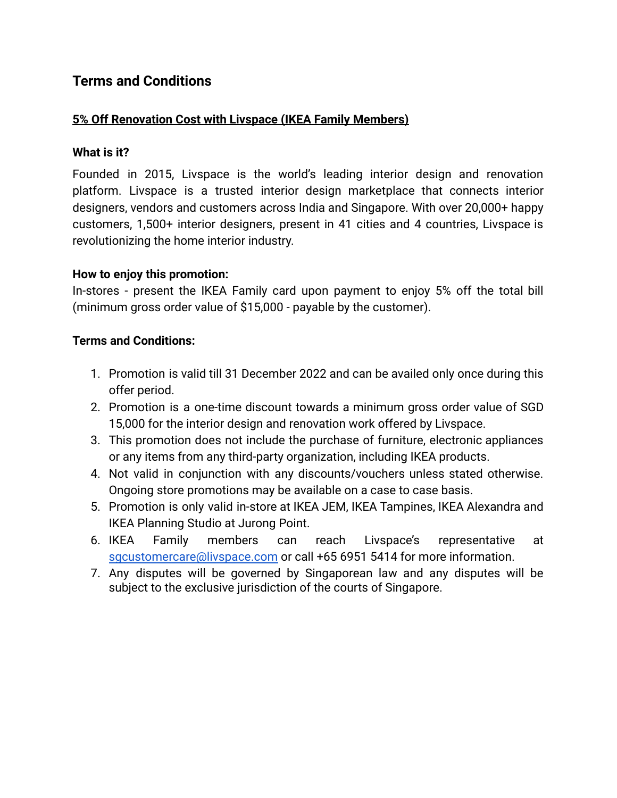# **Terms and Conditions**

## **5% Off Renovation Cost with Livspace (IKEA Family Members)**

## **What is it?**

Founded in 2015, Livspace is the world's leading interior design and renovation platform. Livspace is a trusted interior design marketplace that connects interior designers, vendors and customers across India and Singapore. With over 20,000+ happy customers, 1,500+ interior designers, present in 41 cities and 4 countries, Livspace is revolutionizing the home interior industry.

#### **How to enjoy this promotion:**

In-stores - present the IKEA Family card upon payment to enjoy 5% off the total bill (minimum gross order value of \$15,000 - payable by the customer).

#### **Terms and Conditions:**

- 1. Promotion is valid till 31 December 2022 and can be availed only once during this offer period.
- 2. Promotion is a one-time discount towards a minimum gross order value of SGD 15,000 for the interior design and renovation work offered by Livspace.
- 3. This promotion does not include the purchase of furniture, electronic appliances or any items from any third-party organization, including IKEA products.
- 4. Not valid in conjunction with any discounts/vouchers unless stated otherwise. Ongoing store promotions may be available on a case to case basis.
- 5. Promotion is only valid in-store at IKEA JEM, IKEA Tampines, IKEA Alexandra and IKEA Planning Studio at Jurong Point.
- 6. IKEA Family members can reach Livspace's representative at [sgcustomercare@livspace.com](mailto:sgcustomercare@livspace.com) or call +65 6951 5414 for more information.
- 7. Any disputes will be governed by Singaporean law and any disputes will be subject to the exclusive jurisdiction of the courts of Singapore.